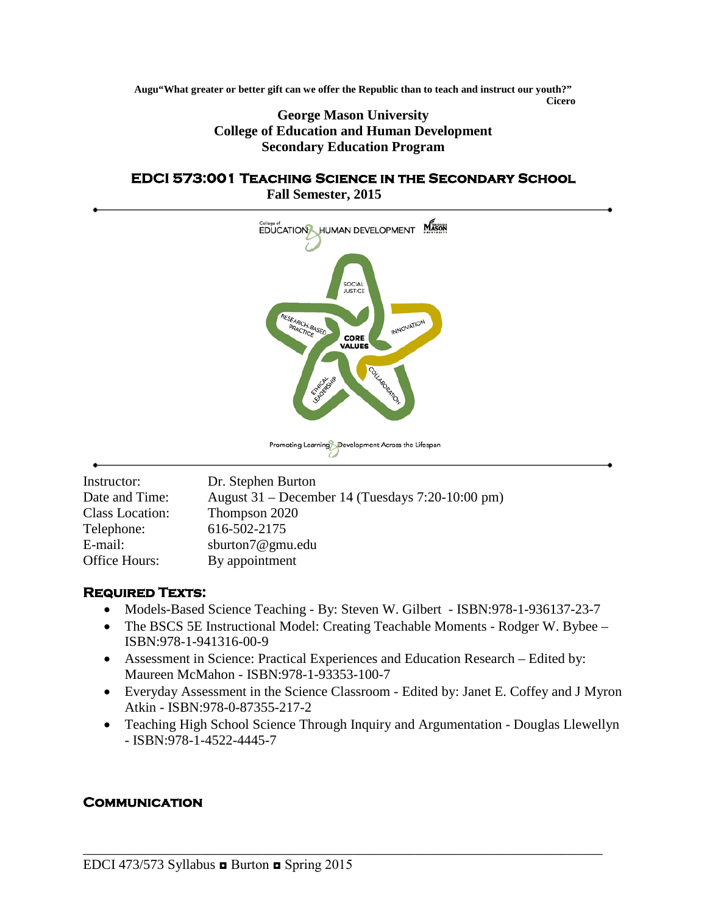**Augu"What greater or better gift can we offer the Republic than to teach and instruct our youth?" Cicero**

> **George Mason University College of Education and Human Development Secondary Education Program**

#### **EDCI 573:001 Teaching Science in the Secondary School Fall Semester, 2015**



| Dr. Stephen Burton                               |
|--------------------------------------------------|
| August 31 – December 14 (Tuesdays 7:20-10:00 pm) |
| Thompson 2020                                    |
| 616-502-2175                                     |
| sburton7@gmu.edu                                 |
| By appointment                                   |
|                                                  |

## **Required Texts:**

- Models-Based Science Teaching By: Steven W. Gilbert ISBN:978-1-936137-23-7
- The BSCS 5E Instructional Model: Creating Teachable Moments Rodger W. Bybee ISBN:978-1-941316-00-9
- Assessment in Science: Practical Experiences and Education Research Edited by: Maureen McMahon - ISBN:978-1-93353-100-7

\_\_\_\_\_\_\_\_\_\_\_\_\_\_\_\_\_\_\_\_\_\_\_\_\_\_\_\_\_\_\_\_\_\_\_\_\_\_\_\_\_\_\_\_\_\_\_\_\_\_\_\_\_\_\_\_\_\_\_\_\_\_\_\_\_\_\_\_\_\_\_\_\_\_\_

- Everyday Assessment in the Science Classroom Edited by: Janet E. Coffey and J Myron Atkin - ISBN:978-0-87355-217-2
- Teaching High School Science Through Inquiry and Argumentation Douglas Llewellyn - ISBN:978-1-4522-4445-7

## **Communication**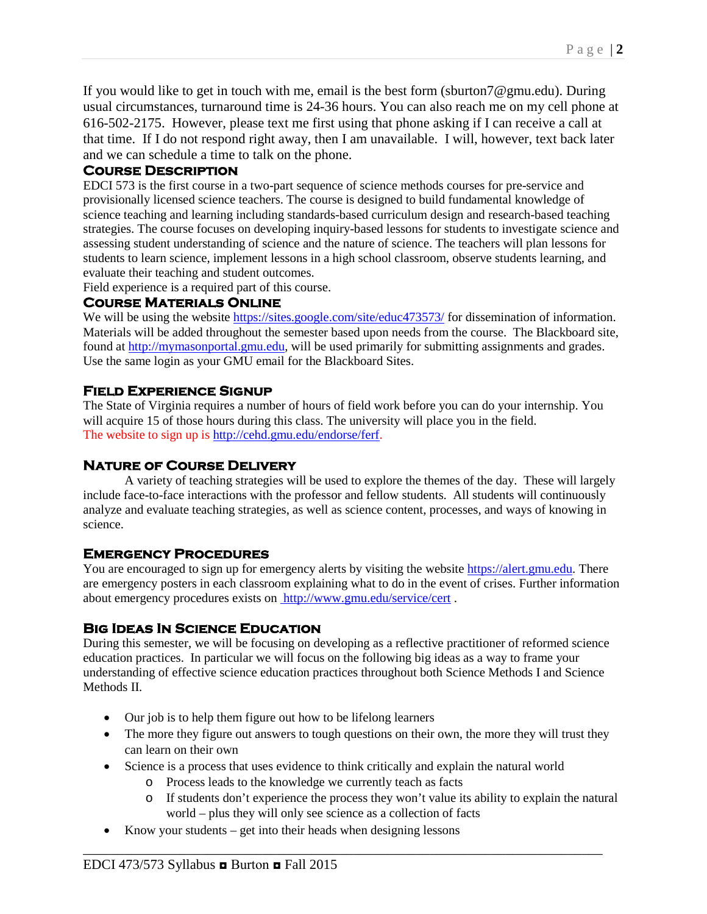If you would like to get in touch with me, email is the best form (sburton7@gmu.edu). During usual circumstances, turnaround time is 24-36 hours. You can also reach me on my cell phone at 616-502-2175. However, please text me first using that phone asking if I can receive a call at that time. If I do not respond right away, then I am unavailable. I will, however, text back later and we can schedule a time to talk on the phone.

## **Course Description**

EDCI 573 is the first course in a two-part sequence of science methods courses for pre-service and provisionally licensed science teachers. The course is designed to build fundamental knowledge of science teaching and learning including standards-based curriculum design and research-based teaching strategies. The course focuses on developing inquiry-based lessons for students to investigate science and assessing student understanding of science and the nature of science. The teachers will plan lessons for students to learn science, implement lessons in a high school classroom, observe students learning, and evaluate their teaching and student outcomes.

Field experience is a required part of this course.

### **Course Materials Online**

We will be using the website<https://sites.google.com/site/educ473573/> for dissemination of information. Materials will be added throughout the semester based upon needs from the course. The Blackboard site, found at [http://mymasonportal.gmu.edu,](http://mymasonportal.gmu.edu/) will be used primarily for submitting assignments and grades. Use the same login as your GMU email for the Blackboard Sites.

## **Field Experience Signup**

The State of Virginia requires a number of hours of field work before you can do your internship. You will acquire 15 of those hours during this class. The university will place you in the field. The website to sign up is [http://cehd.gmu.edu/endorse/ferf.](http://cehd.gmu.edu/endorse/ferf)

## **Nature of Course Delivery**

A variety of teaching strategies will be used to explore the themes of the day. These will largely include face-to-face interactions with the professor and fellow students. All students will continuously analyze and evaluate teaching strategies, as well as science content, processes, and ways of knowing in science.

## **Emergency Procedures**

You are encouraged to sign up for emergency alerts by visiting the website [https://alert.gmu.edu.](https://alert.gmu.edu/) There are emergency posters in each classroom explaining what to do in the event of crises. Further information about emergency procedures exists on <http://www.gmu.edu/service/cert> .

## **Big Ideas In Science Education**

During this semester, we will be focusing on developing as a reflective practitioner of reformed science education practices. In particular we will focus on the following big ideas as a way to frame your understanding of effective science education practices throughout both Science Methods I and Science Methods II.

- Our job is to help them figure out how to be lifelong learners
- The more they figure out answers to tough questions on their own, the more they will trust they can learn on their own
- Science is a process that uses evidence to think critically and explain the natural world
	- o Process leads to the knowledge we currently teach as facts
	- o If students don't experience the process they won't value its ability to explain the natural world – plus they will only see science as a collection of facts
- Know your students  $-$  get into their heads when designing lessons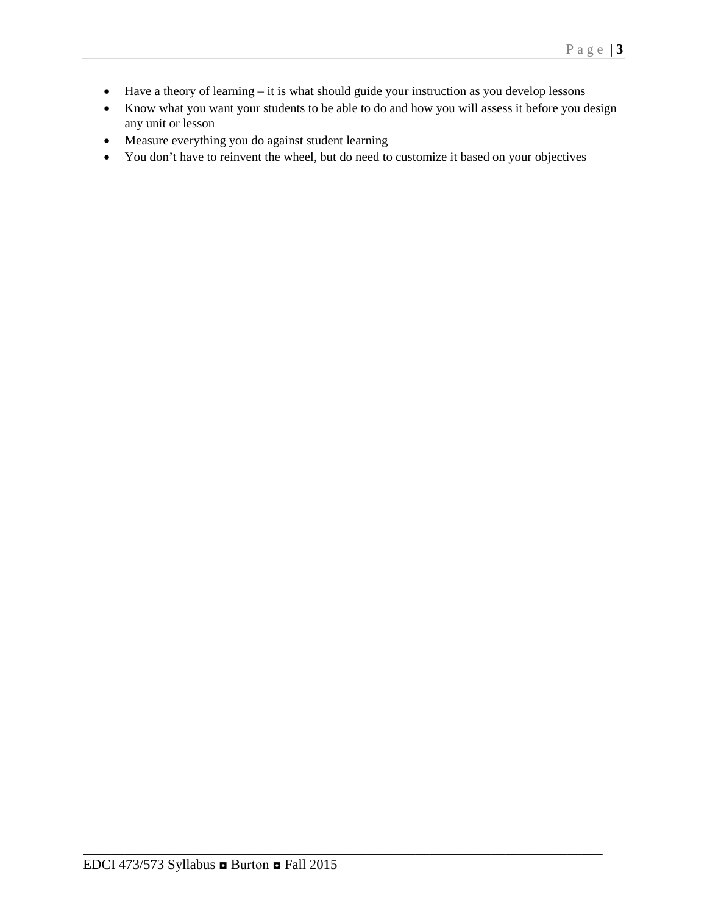- Have a theory of learning it is what should guide your instruction as you develop lessons
- Know what you want your students to be able to do and how you will assess it before you design any unit or lesson
- Measure everything you do against student learning
- You don't have to reinvent the wheel, but do need to customize it based on your objectives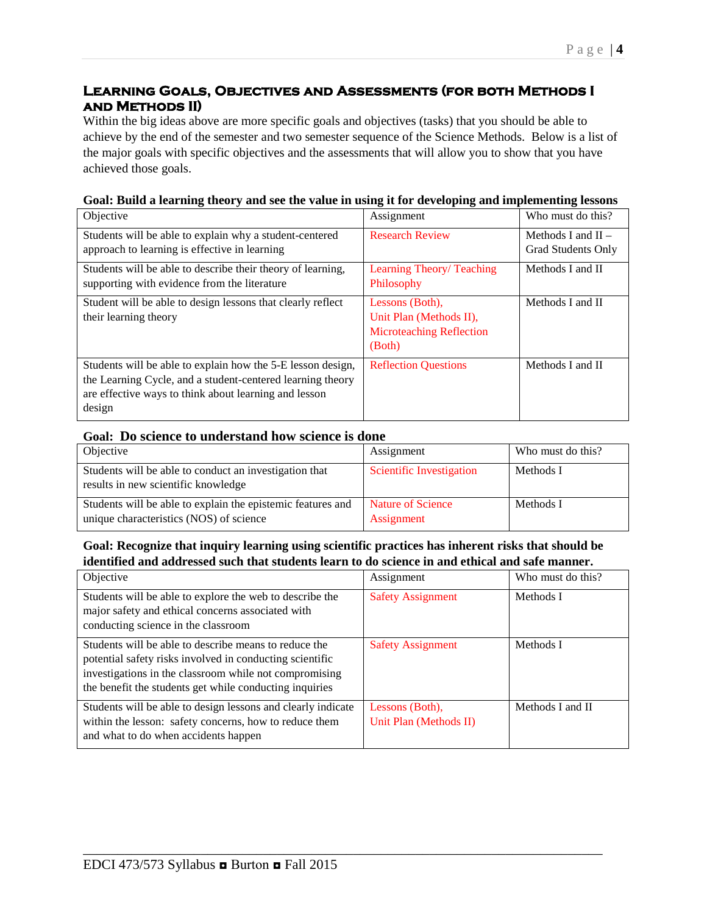## **Learning Goals, Objectives and Assessments (for both Methods I and Methods II)**

Within the big ideas above are more specific goals and objectives (tasks) that you should be able to achieve by the end of the semester and two semester sequence of the Science Methods. Below is a list of the major goals with specific objectives and the assessments that will allow you to show that you have achieved those goals.

| Objective                                                                                                                                                                                    | Assignment                                                                              | Who must do this?                          |
|----------------------------------------------------------------------------------------------------------------------------------------------------------------------------------------------|-----------------------------------------------------------------------------------------|--------------------------------------------|
| Students will be able to explain why a student-centered<br>approach to learning is effective in learning                                                                                     | <b>Research Review</b>                                                                  | Methods I and $II -$<br>Grad Students Only |
| Students will be able to describe their theory of learning,<br>supporting with evidence from the literature                                                                                  | Learning Theory/ Teaching<br>Philosophy                                                 | Methods I and II                           |
| Student will be able to design lessons that clearly reflect<br>their learning theory                                                                                                         | Lessons (Both),<br>Unit Plan (Methods II),<br><b>Microteaching Reflection</b><br>(Both) | Methods I and II                           |
| Students will be able to explain how the 5-E lesson design,<br>the Learning Cycle, and a student-centered learning theory<br>are effective ways to think about learning and lesson<br>design | <b>Reflection Questions</b>                                                             | Methods I and II                           |

#### **Goal: Build a learning theory and see the value in using it for developing and implementing lessons**

#### **Goal: Do science to understand how science is done**

| Objective                                                                                              | Assignment                      | Who must do this? |
|--------------------------------------------------------------------------------------------------------|---------------------------------|-------------------|
| Students will be able to conduct an investigation that<br>results in new scientific knowledge          | Scientific Investigation        | Methods I         |
| Students will be able to explain the epistemic features and<br>unique characteristics (NOS) of science | Nature of Science<br>Assignment | Methods I         |

#### **Goal: Recognize that inquiry learning using scientific practices has inherent risks that should be identified and addressed such that students learn to do science in and ethical and safe manner.**

| Objective                                                                                                                                                                                                                              | Assignment                                | Who must do this? |
|----------------------------------------------------------------------------------------------------------------------------------------------------------------------------------------------------------------------------------------|-------------------------------------------|-------------------|
| Students will be able to explore the web to describe the<br>major safety and ethical concerns associated with<br>conducting science in the classroom                                                                                   | <b>Safety Assignment</b>                  | Methods I         |
| Students will be able to describe means to reduce the<br>potential safety risks involved in conducting scientific<br>investigations in the classroom while not compromising<br>the benefit the students get while conducting inquiries | <b>Safety Assignment</b>                  | Methods I         |
| Students will be able to design lessons and clearly indicate<br>within the lesson: safety concerns, how to reduce them<br>and what to do when accidents happen                                                                         | Lessons (Both),<br>Unit Plan (Methods II) | Methods I and II  |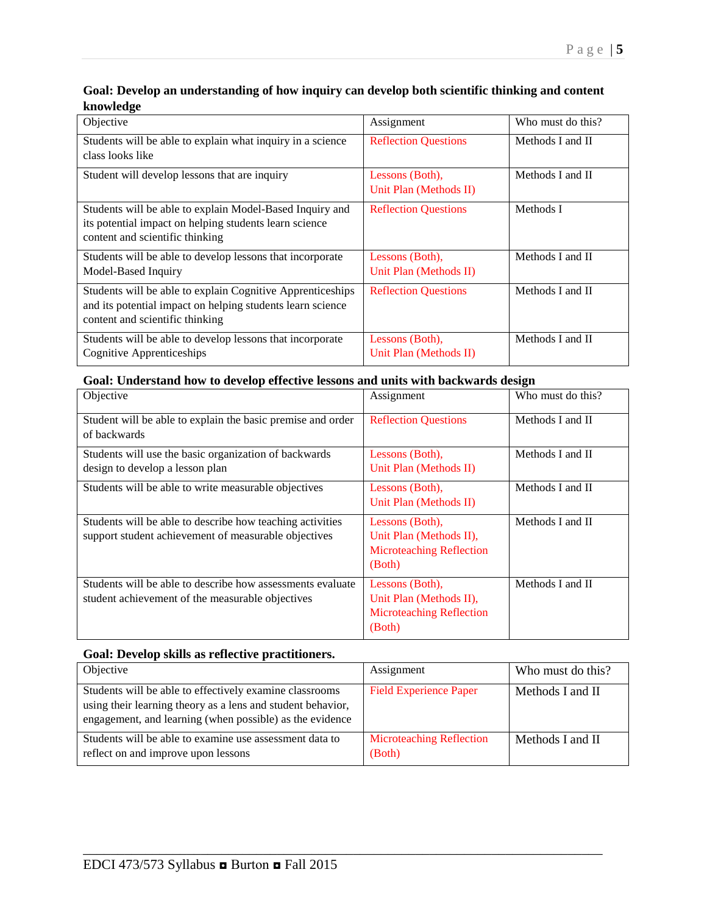#### **Goal: Develop an understanding of how inquiry can develop both scientific thinking and content knowledge**

| Objective                                                                                                                                                   | Assignment                                | Who must do this? |
|-------------------------------------------------------------------------------------------------------------------------------------------------------------|-------------------------------------------|-------------------|
| Students will be able to explain what inquiry in a science<br>class looks like                                                                              | <b>Reflection Questions</b>               | Methods I and II  |
| Student will develop lessons that are inquiry                                                                                                               | Lessons (Both),<br>Unit Plan (Methods II) | Methods I and II  |
| Students will be able to explain Model-Based Inquiry and<br>its potential impact on helping students learn science<br>content and scientific thinking       | <b>Reflection Questions</b>               | Methods I         |
| Students will be able to develop lessons that incorporate<br>Model-Based Inquiry                                                                            | Lessons (Both),<br>Unit Plan (Methods II) | Methods I and II  |
| Students will be able to explain Cognitive Apprenticeships<br>and its potential impact on helping students learn science<br>content and scientific thinking | <b>Reflection Questions</b>               | Methods I and II  |
| Students will be able to develop lessons that incorporate<br>Cognitive Apprenticeships                                                                      | Lessons (Both),<br>Unit Plan (Methods II) | Methods I and II  |

### **Goal: Understand how to develop effective lessons and units with backwards design**

| Objective                                                                                                         | Assignment                                                                              | Who must do this? |
|-------------------------------------------------------------------------------------------------------------------|-----------------------------------------------------------------------------------------|-------------------|
| Student will be able to explain the basic premise and order<br>of backwards                                       | <b>Reflection Questions</b>                                                             | Methods I and II  |
| Students will use the basic organization of backwards<br>design to develop a lesson plan                          | Lessons (Both),<br>Unit Plan (Methods II)                                               | Methods I and II  |
| Students will be able to write measurable objectives                                                              | Lessons (Both),<br>Unit Plan (Methods II)                                               | Methods I and II  |
| Students will be able to describe how teaching activities<br>support student achievement of measurable objectives | Lessons (Both),<br>Unit Plan (Methods II),<br><b>Microteaching Reflection</b><br>(Both) | Methods I and II  |
| Students will be able to describe how assessments evaluate<br>student achievement of the measurable objectives    | Lessons (Both),<br>Unit Plan (Methods II),<br><b>Microteaching Reflection</b><br>(Both) | Methods I and II  |

#### **Goal: Develop skills as reflective practitioners.**

| Objective                                                                                                                                                                          | Assignment                                | Who must do this? |
|------------------------------------------------------------------------------------------------------------------------------------------------------------------------------------|-------------------------------------------|-------------------|
| Students will be able to effectively examine classrooms<br>using their learning theory as a lens and student behavior,<br>engagement, and learning (when possible) as the evidence | <b>Field Experience Paper</b>             | Methods I and II  |
| Students will be able to examine use assessment data to<br>reflect on and improve upon lessons                                                                                     | <b>Microteaching Reflection</b><br>(Both) | Methods I and II  |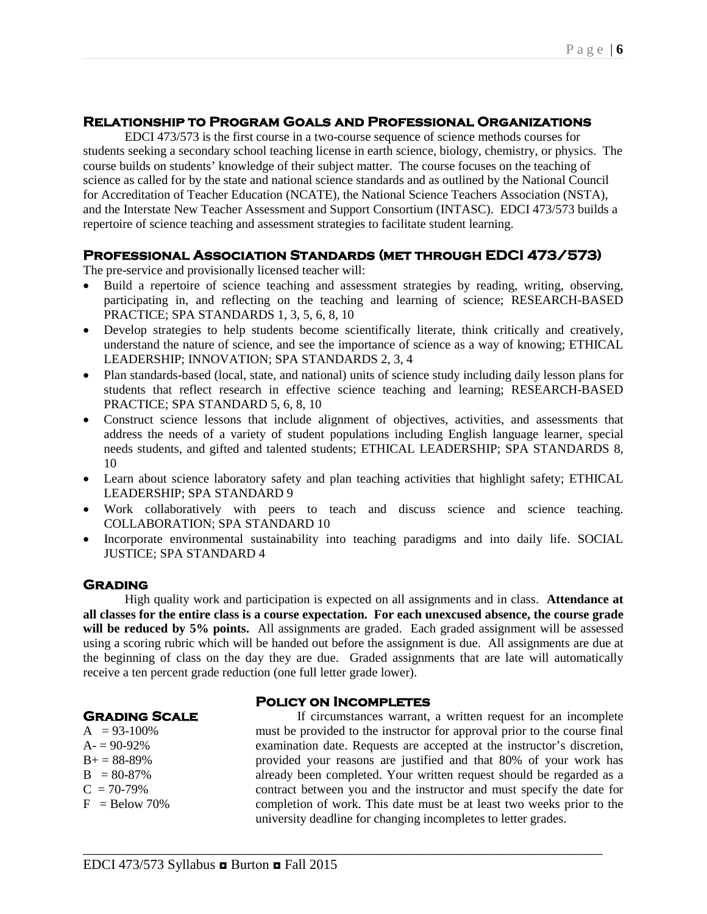#### **Relationship to Program Goals and Professional Organizations**

EDCI 473/573 is the first course in a two-course sequence of science methods courses for students seeking a secondary school teaching license in earth science, biology, chemistry, or physics. The course builds on students' knowledge of their subject matter. The course focuses on the teaching of science as called for by the state and national science standards and as outlined by the National Council for Accreditation of Teacher Education (NCATE), the National Science Teachers Association (NSTA), and the Interstate New Teacher Assessment and Support Consortium (INTASC). EDCI 473/573 builds a repertoire of science teaching and assessment strategies to facilitate student learning.

#### **Professional Association Standards (met through EDCI 473/573)**

The pre-service and provisionally licensed teacher will:

- Build a repertoire of science teaching and assessment strategies by reading, writing, observing, participating in, and reflecting on the teaching and learning of science; RESEARCH-BASED PRACTICE; SPA STANDARDS 1, 3, 5, 6, 8, 10
- Develop strategies to help students become scientifically literate, think critically and creatively, understand the nature of science, and see the importance of science as a way of knowing; ETHICAL LEADERSHIP; INNOVATION; SPA STANDARDS 2, 3, 4
- Plan standards-based (local, state, and national) units of science study including daily lesson plans for students that reflect research in effective science teaching and learning; RESEARCH-BASED PRACTICE; SPA STANDARD 5, 6, 8, 10
- Construct science lessons that include alignment of objectives, activities, and assessments that address the needs of a variety of student populations including English language learner, special needs students, and gifted and talented students; ETHICAL LEADERSHIP; SPA STANDARDS 8, 10
- Learn about science laboratory safety and plan teaching activities that highlight safety; ETHICAL LEADERSHIP; SPA STANDARD 9
- Work collaboratively with peers to teach and discuss science and science teaching. COLLABORATION; SPA STANDARD 10
- Incorporate environmental sustainability into teaching paradigms and into daily life. SOCIAL JUSTICE; SPA STANDARD 4

#### **Grading**

High quality work and participation is expected on all assignments and in class. **Attendance at all classes for the entire class is a course expectation. For each unexcused absence, the course grade**  will be reduced by 5% points. All assignments are graded. Each graded assignment will be assessed using a scoring rubric which will be handed out before the assignment is due. All assignments are due at the beginning of class on the day they are due. Graded assignments that are late will automatically receive a ten percent grade reduction (one full letter grade lower).

#### **Policy on Incompletes**

\_\_\_\_\_\_\_\_\_\_\_\_\_\_\_\_\_\_\_\_\_\_\_\_\_\_\_\_\_\_\_\_\_\_\_\_\_\_\_\_\_\_\_\_\_\_\_\_\_\_\_\_\_\_\_\_\_\_\_\_\_\_\_\_\_\_\_\_\_\_\_\_\_\_\_

**Grading Scale**

 $A = 93-100\%$  $A = 90-92%$  $B+= 88-89%$  $B = 80-87%$  $C = 70-79%$  $F =$ Below 70%

If circumstances warrant, a written request for an incomplete must be provided to the instructor for approval prior to the course final examination date. Requests are accepted at the instructor's discretion, provided your reasons are justified and that 80% of your work has already been completed. Your written request should be regarded as a contract between you and the instructor and must specify the date for completion of work. This date must be at least two weeks prior to the university deadline for changing incompletes to letter grades.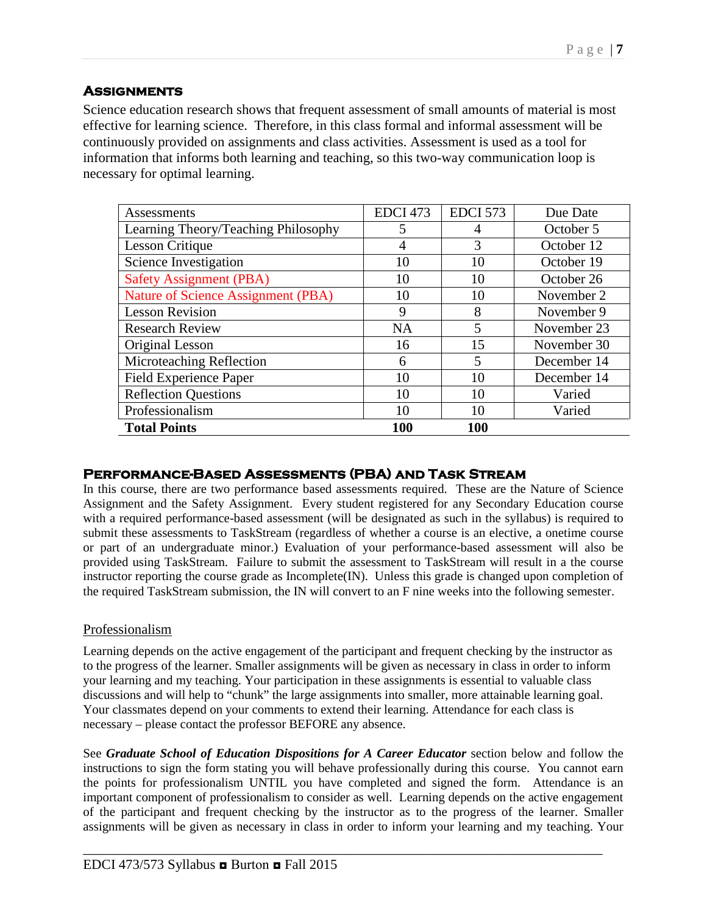## **Assignments**

Science education research shows that frequent assessment of small amounts of material is most effective for learning science. Therefore, in this class formal and informal assessment will be continuously provided on assignments and class activities. Assessment is used as a tool for information that informs both learning and teaching, so this two-way communication loop is necessary for optimal learning.

| Assessments                               | EDCI <sub>473</sub> | <b>EDCI 573</b> | Due Date    |
|-------------------------------------------|---------------------|-----------------|-------------|
| Learning Theory/Teaching Philosophy       | 5                   | 4               | October 5   |
| <b>Lesson Critique</b>                    | 4                   | 3               | October 12  |
| Science Investigation                     | 10                  | 10              | October 19  |
| <b>Safety Assignment (PBA)</b>            | 10                  | 10              | October 26  |
| <b>Nature of Science Assignment (PBA)</b> | 10                  | 10              | November 2  |
| <b>Lesson Revision</b>                    | 9                   | 8               | November 9  |
| <b>Research Review</b>                    | <b>NA</b>           | 5               | November 23 |
| Original Lesson                           | 16                  | 15              | November 30 |
| Microteaching Reflection                  | 6                   | 5               | December 14 |
| <b>Field Experience Paper</b>             | 10                  | 10              | December 14 |
| <b>Reflection Questions</b>               | 10                  | 10              | Varied      |
| Professionalism                           | 10                  | 10              | Varied      |
| <b>Total Points</b>                       | <b>100</b>          | <b>100</b>      |             |

## **Performance-Based Assessments (PBA) and Task Stream**

In this course, there are two performance based assessments required. These are the Nature of Science Assignment and the Safety Assignment. Every student registered for any Secondary Education course with a required performance-based assessment (will be designated as such in the syllabus) is required to submit these assessments to TaskStream (regardless of whether a course is an elective, a onetime course or part of an undergraduate minor.) Evaluation of your performance-based assessment will also be provided using TaskStream. Failure to submit the assessment to TaskStream will result in a the course instructor reporting the course grade as Incomplete(IN). Unless this grade is changed upon completion of the required TaskStream submission, the IN will convert to an F nine weeks into the following semester.

## Professionalism

Learning depends on the active engagement of the participant and frequent checking by the instructor as to the progress of the learner. Smaller assignments will be given as necessary in class in order to inform your learning and my teaching. Your participation in these assignments is essential to valuable class discussions and will help to "chunk" the large assignments into smaller, more attainable learning goal. Your classmates depend on your comments to extend their learning. Attendance for each class is necessary – please contact the professor BEFORE any absence.

See *Graduate School of Education Dispositions for A Career Educator* section below and follow the instructions to sign the form stating you will behave professionally during this course. You cannot earn the points for professionalism UNTIL you have completed and signed the form. Attendance is an important component of professionalism to consider as well. Learning depends on the active engagement of the participant and frequent checking by the instructor as to the progress of the learner. Smaller assignments will be given as necessary in class in order to inform your learning and my teaching. Your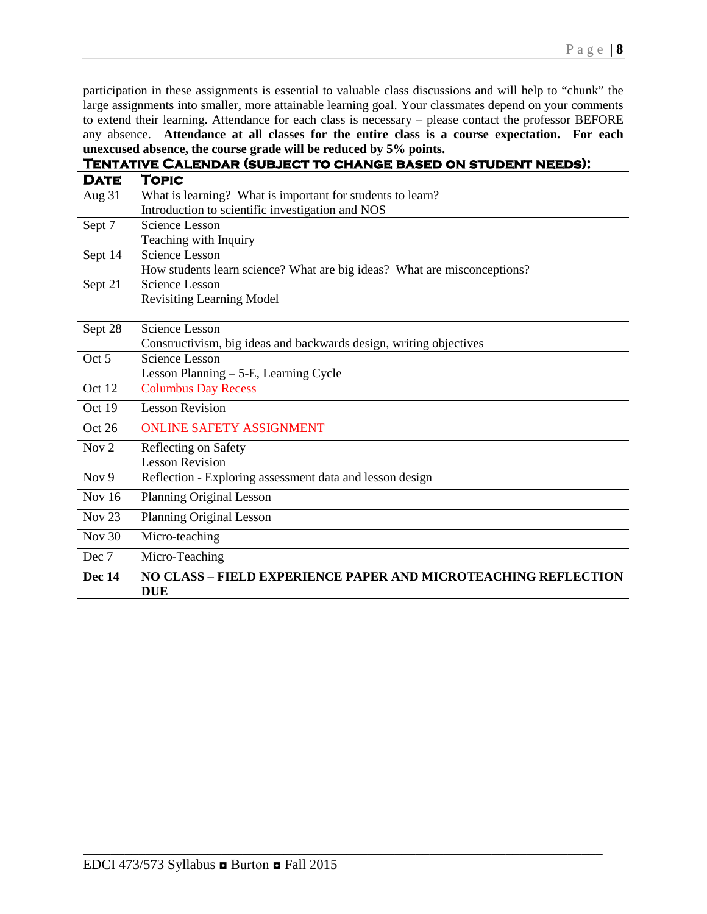participation in these assignments is essential to valuable class discussions and will help to "chunk" the large assignments into smaller, more attainable learning goal. Your classmates depend on your comments to extend their learning. Attendance for each class is necessary – please contact the professor BEFORE any absence. **Attendance at all classes for the entire class is a course expectation. For each unexcused absence, the course grade will be reduced by 5% points.**

# **Tentative Calendar (subject to change based on student needs):**

| <b>DATE</b>      | <b>TOPIC</b>                                                             |
|------------------|--------------------------------------------------------------------------|
| Aug 31           | What is learning? What is important for students to learn?               |
|                  | Introduction to scientific investigation and NOS                         |
| Sept 7           | <b>Science Lesson</b>                                                    |
|                  | Teaching with Inquiry                                                    |
| Sept 14          | Science Lesson                                                           |
|                  | How students learn science? What are big ideas? What are misconceptions? |
| Sept 21          | <b>Science Lesson</b>                                                    |
|                  | <b>Revisiting Learning Model</b>                                         |
|                  |                                                                          |
| Sept 28          | <b>Science Lesson</b>                                                    |
|                  | Constructivism, big ideas and backwards design, writing objectives       |
| Oct 5            | <b>Science Lesson</b>                                                    |
|                  | Lesson Planning - 5-E, Learning Cycle                                    |
| Oct 12           | <b>Columbus Day Recess</b>                                               |
| Oct 19           | <b>Lesson Revision</b>                                                   |
| Oct 26           | <b>ONLINE SAFETY ASSIGNMENT</b>                                          |
| Nov <sub>2</sub> | Reflecting on Safety                                                     |
|                  | <b>Lesson Revision</b>                                                   |
| Nov <sub>9</sub> | Reflection - Exploring assessment data and lesson design                 |
| <b>Nov 16</b>    | <b>Planning Original Lesson</b>                                          |
| <b>Nov 23</b>    | <b>Planning Original Lesson</b>                                          |
| <b>Nov 30</b>    | Micro-teaching                                                           |
| Dec 7            | Micro-Teaching                                                           |
| <b>Dec 14</b>    | NO CLASS - FIELD EXPERIENCE PAPER AND MICROTEACHING REFLECTION           |
|                  | <b>DUE</b>                                                               |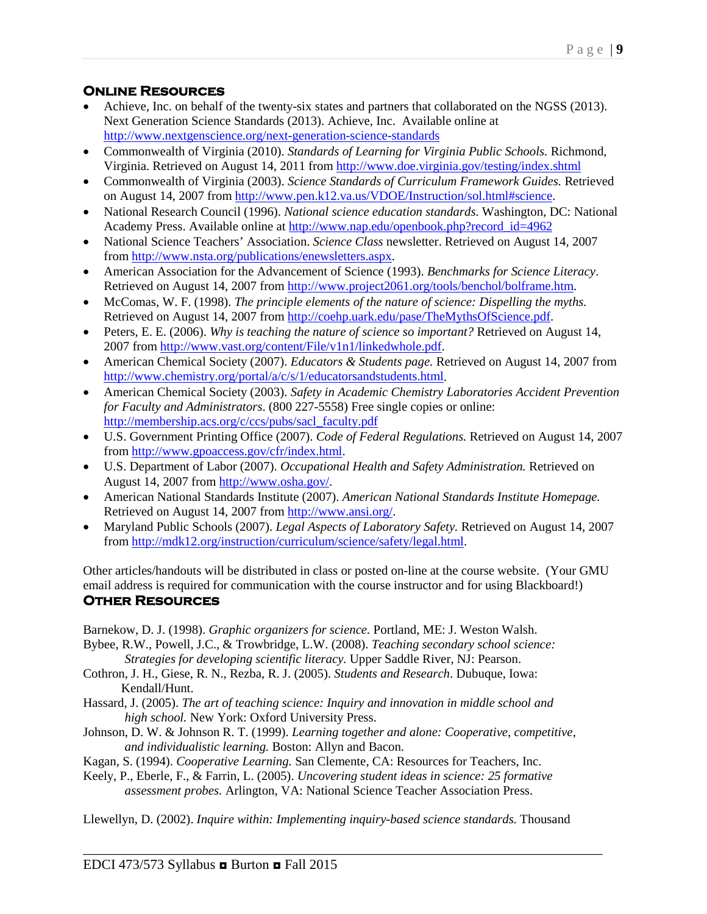## **Online Resources**

- Achieve, Inc. on behalf of the twenty-six states and partners that collaborated on the NGSS (2013). Next Generation Science Standards (2013). Achieve, Inc. Available online at <http://www.nextgenscience.org/next-generation-science-standards>
- Commonwealth of Virginia (2010). *Standards of Learning for Virginia Public Schools.* Richmond, Virginia. Retrieved on August 14, 2011 from<http://www.doe.virginia.gov/testing/index.shtml>
- Commonwealth of Virginia (2003). *Science Standards of Curriculum Framework Guides.* Retrieved on August 14, 2007 from [http://www.pen.k12.va.us/VDOE/Instruction/sol.html#science.](http://www.pen.k12.va.us/VDOE/Instruction/sol.html%23science)
- National Research Council (1996). *National science education standards*. Washington, DC: National Academy Press. Available online at [http://www.nap.edu/openbook.php?record\\_id=4962](http://www.nap.edu/openbook.php?record_id=4962)
- National Science Teachers' Association. *Science Class* newsletter. Retrieved on August 14, 2007 from [http://www.nsta.org/publications/enewsletters.aspx.](http://www.nsta.org/publications/enewsletters.aspx)
- American Association for the Advancement of Science (1993). *Benchmarks for Science Literacy*. Retrieved on August 14, 2007 from [http://www.project2061.org/tools/benchol/bolframe.htm.](http://www.project2061.org/tools/benchol/bolframe.htm)
- McComas, W. F. (1998). *The principle elements of the nature of science: Dispelling the myths.*  Retrieved on August 14, 2007 from [http://coehp.uark.edu/pase/TheMythsOfScience.pdf.](http://coehp.uark.edu/pase/TheMythsOfScience.pdf)
- Peters, E. E. (2006). *Why is teaching the nature of science so important?* Retrieved on August 14, 2007 from [http://www.vast.org/content/File/v1n1/linkedwhole.pdf.](http://www.vast.org/content/File/v1n1/linkedwhole.pdf)
- American Chemical Society (2007). *Educators & Students page.* Retrieved on August 14, 2007 from [http://www.chemistry.org/portal/a/c/s/1/educatorsandstudents.html.](http://www.chemistry.org/portal/a/c/s/1/educatorsandstudents.html)
- American Chemical Society (2003). *Safety in Academic Chemistry Laboratories Accident Prevention for Faculty and Administrators*. (800 227-5558) Free single copies or online: [http://membership.acs.org/c/ccs/pubs/sacl\\_faculty.pdf](http://membership.acs.org/c/ccs/pubs/sacl_faculty.pdf)
- U.S. Government Printing Office (2007). *Code of Federal Regulations.* Retrieved on August 14, 2007 from [http://www.gpoaccess.gov/cfr/index.html.](http://www.gpoaccess.gov/cfr/index.html)
- U.S. Department of Labor (2007). *Occupational Health and Safety Administration.* Retrieved on August 14, 2007 from [http://www.osha.gov/.](http://www.osha.gov/)
- American National Standards Institute (2007). *American National Standards Institute Homepage.*  Retrieved on August 14, 2007 from [http://www.ansi.org/.](http://www.ansi.org/)
- Maryland Public Schools (2007). *Legal Aspects of Laboratory Safety.* Retrieved on August 14, 2007 from [http://mdk12.org/instruction/curriculum/science/safety/legal.html.](http://mdk12.org/instruction/curriculum/science/safety/legal.html)

Other articles/handouts will be distributed in class or posted on-line at the course website. (Your GMU email address is required for communication with the course instructor and for using Blackboard!) **Other Resources** 

Barnekow, D. J. (1998). *Graphic organizers for science.* Portland, ME: J. Weston Walsh.

Bybee, R.W., Powell, J.C., & Trowbridge, L.W. (2008). *Teaching secondary school science: Strategies for developing scientific literacy.* Upper Saddle River, NJ: Pearson.

- Cothron, J. H., Giese, R. N., Rezba, R. J. (2005). *Students and Research*. Dubuque, Iowa: Kendall/Hunt.
- Hassard, J. (2005). *The art of teaching science: Inquiry and innovation in middle school and high school.* New York: Oxford University Press.
- Johnson, D. W. & Johnson R. T. (1999). *Learning together and alone: Cooperative, competitive, and individualistic learning.* Boston: Allyn and Bacon.

Kagan, S. (1994). *Cooperative Learning.* San Clemente, CA: Resources for Teachers, Inc.

Keely, P., Eberle, F., & Farrin, L. (2005). *Uncovering student ideas in science: 25 formative assessment probes.* Arlington, VA: National Science Teacher Association Press.

Llewellyn, D. (2002). *Inquire within: Implementing inquiry-based science standards.* Thousand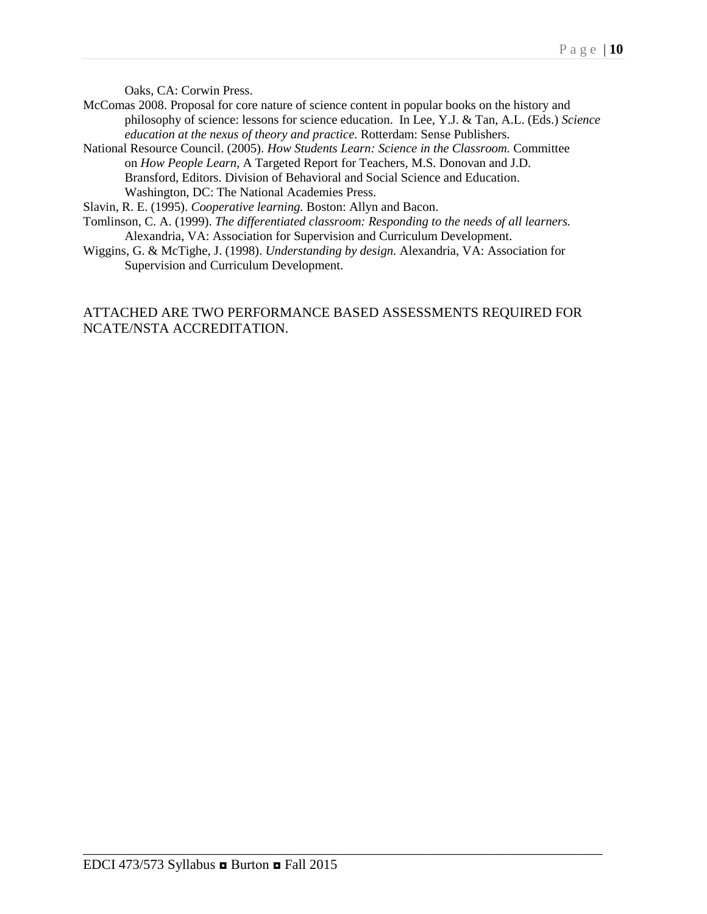Oaks, CA: Corwin Press.

- McComas 2008. Proposal for core nature of science content in popular books on the history and philosophy of science: lessons for science education. In Lee, Y.J. & Tan, A.L. (Eds.) *Science education at the nexus of theory and practice.* Rotterdam: Sense Publishers.
- National Resource Council. (2005). *How Students Learn: Science in the Classroom.* Committee on *How People Learn,* A Targeted Report for Teachers, M.S. Donovan and J.D. Bransford, Editors. Division of Behavioral and Social Science and Education. Washington, DC: The National Academies Press.

Slavin, R. E. (1995). *Cooperative learning.* Boston: Allyn and Bacon.

- Tomlinson, C. A. (1999). *The differentiated classroom: Responding to the needs of all learners.*  Alexandria, VA: Association for Supervision and Curriculum Development.
- Wiggins, G. & McTighe, J. (1998). *Understanding by design.* Alexandria, VA: Association for Supervision and Curriculum Development.

## ATTACHED ARE TWO PERFORMANCE BASED ASSESSMENTS REQUIRED FOR NCATE/NSTA ACCREDITATION.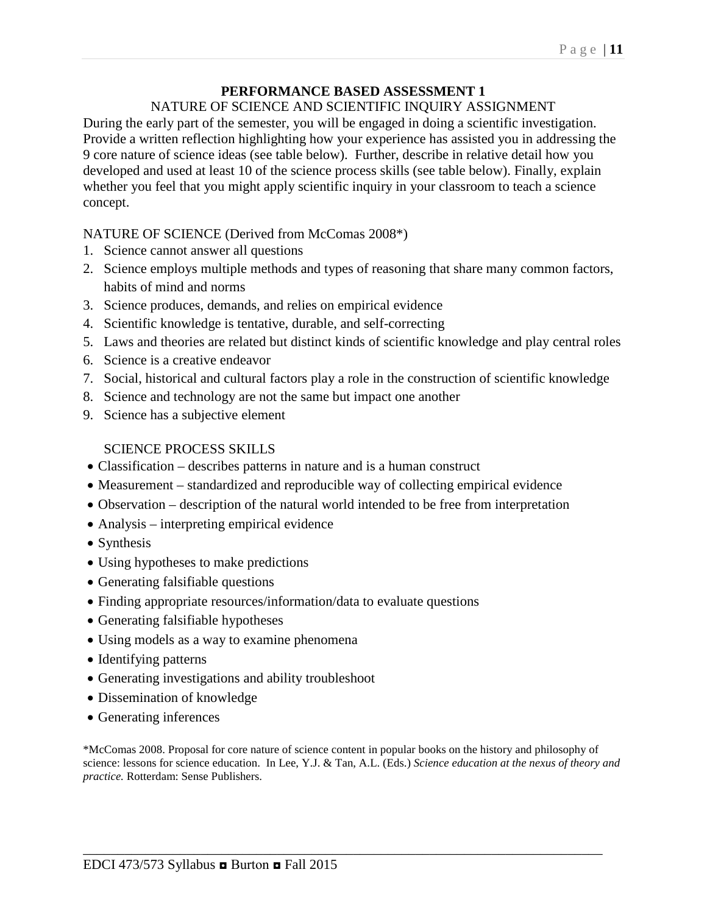## **PERFORMANCE BASED ASSESSMENT 1**

### NATURE OF SCIENCE AND SCIENTIFIC INQUIRY ASSIGNMENT

During the early part of the semester, you will be engaged in doing a scientific investigation. Provide a written reflection highlighting how your experience has assisted you in addressing the 9 core nature of science ideas (see table below). Further, describe in relative detail how you developed and used at least 10 of the science process skills (see table below). Finally, explain whether you feel that you might apply scientific inquiry in your classroom to teach a science concept.

## NATURE OF SCIENCE (Derived from McComas 2008\*)

- 1. Science cannot answer all questions
- 2. Science employs multiple methods and types of reasoning that share many common factors, habits of mind and norms
- 3. Science produces, demands, and relies on empirical evidence
- 4. Scientific knowledge is tentative, durable, and self-correcting
- 5. Laws and theories are related but distinct kinds of scientific knowledge and play central roles
- 6. Science is a creative endeavor
- 7. Social, historical and cultural factors play a role in the construction of scientific knowledge
- 8. Science and technology are not the same but impact one another
- 9. Science has a subjective element

### SCIENCE PROCESS SKILLS

- Classification describes patterns in nature and is a human construct
- Measurement standardized and reproducible way of collecting empirical evidence
- Observation description of the natural world intended to be free from interpretation
- Analysis interpreting empirical evidence
- Synthesis
- Using hypotheses to make predictions
- Generating falsifiable questions
- Finding appropriate resources/information/data to evaluate questions
- Generating falsifiable hypotheses
- Using models as a way to examine phenomena
- Identifying patterns
- Generating investigations and ability troubleshoot
- Dissemination of knowledge
- Generating inferences

\*McComas 2008. Proposal for core nature of science content in popular books on the history and philosophy of science: lessons for science education. In Lee, Y.J. & Tan, A.L. (Eds.) *Science education at the nexus of theory and practice.* Rotterdam: Sense Publishers.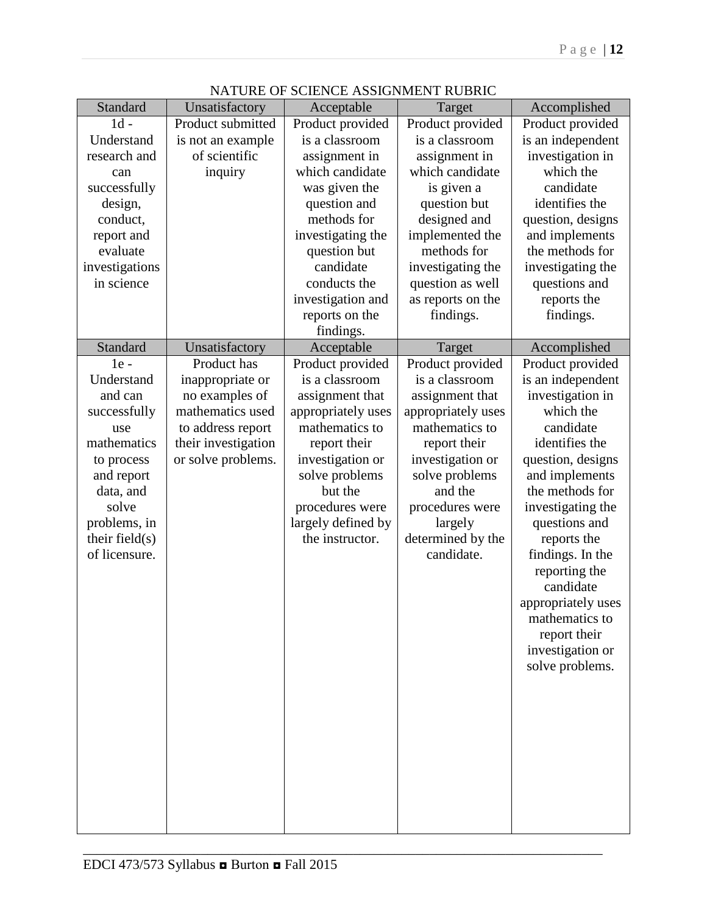| Standard          | Unsatisfactory      | Acceptable         | Target             | Accomplished       |
|-------------------|---------------------|--------------------|--------------------|--------------------|
| $1d -$            | Product submitted   | Product provided   | Product provided   | Product provided   |
| Understand        | is not an example   | is a classroom     | is a classroom     | is an independent  |
| research and      | of scientific       | assignment in      | assignment in      | investigation in   |
| can               | inquiry             | which candidate    | which candidate    | which the          |
| successfully      |                     | was given the      | is given a         | candidate          |
| design,           |                     | question and       | question but       | identifies the     |
| conduct,          |                     | methods for        | designed and       | question, designs  |
| report and        |                     | investigating the  | implemented the    | and implements     |
| evaluate          |                     | question but       | methods for        | the methods for    |
| investigations    |                     | candidate          | investigating the  | investigating the  |
| in science        |                     | conducts the       | question as well   | questions and      |
|                   |                     | investigation and  | as reports on the  | reports the        |
|                   |                     | reports on the     | findings.          | findings.          |
|                   |                     | findings.          |                    |                    |
| Standard          | Unsatisfactory      | Acceptable         | Target             | Accomplished       |
| $1e -$            | Product has         | Product provided   | Product provided   | Product provided   |
| Understand        | inappropriate or    | is a classroom     | is a classroom     | is an independent  |
| and can           | no examples of      | assignment that    | assignment that    | investigation in   |
| successfully      | mathematics used    | appropriately uses | appropriately uses | which the          |
| use               | to address report   | mathematics to     | mathematics to     | candidate          |
| mathematics       | their investigation | report their       | report their       | identifies the     |
| to process        | or solve problems.  | investigation or   | investigation or   | question, designs  |
| and report        |                     | solve problems     | solve problems     | and implements     |
| data, and         |                     | but the            | and the            | the methods for    |
| solve             |                     | procedures were    | procedures were    | investigating the  |
| problems, in      |                     | largely defined by | largely            | questions and      |
| their field $(s)$ |                     | the instructor.    | determined by the  | reports the        |
| of licensure.     |                     |                    | candidate.         | findings. In the   |
|                   |                     |                    |                    | reporting the      |
|                   |                     |                    |                    | candidate          |
|                   |                     |                    |                    | appropriately uses |
|                   |                     |                    |                    | mathematics to     |
|                   |                     |                    |                    | report their       |
|                   |                     |                    |                    | investigation or   |
|                   |                     |                    |                    | solve problems.    |
|                   |                     |                    |                    |                    |
|                   |                     |                    |                    |                    |
|                   |                     |                    |                    |                    |
|                   |                     |                    |                    |                    |
|                   |                     |                    |                    |                    |
|                   |                     |                    |                    |                    |
|                   |                     |                    |                    |                    |
|                   |                     |                    |                    |                    |
|                   |                     |                    |                    |                    |
|                   |                     |                    |                    |                    |

## NATURE OF SCIENCE ASSIGNMENT RUBRIC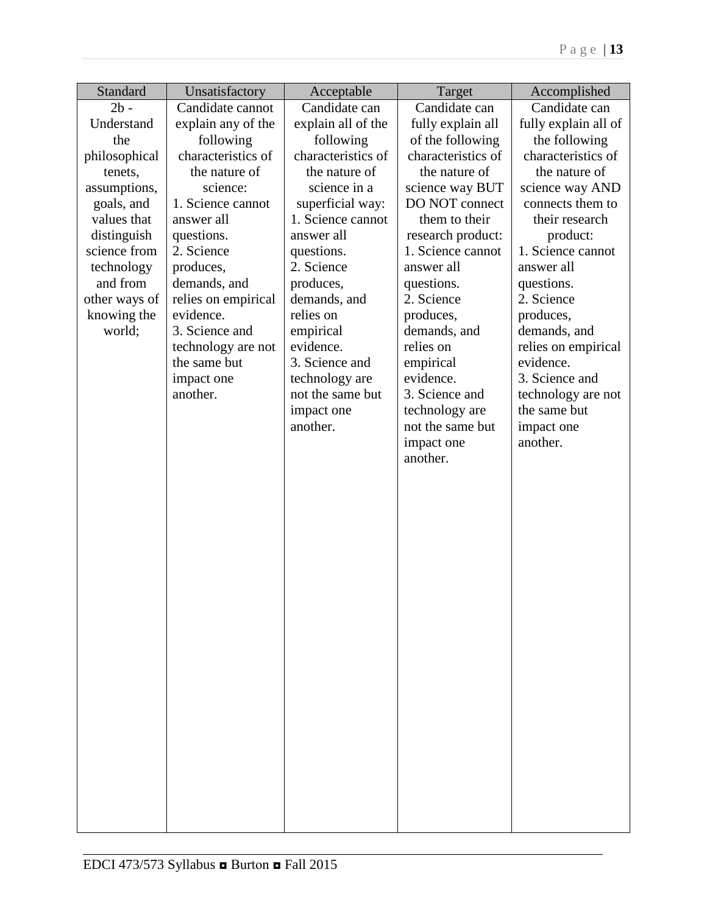| Standard      | Unsatisfactory      | Acceptable         | Target             | Accomplished         |
|---------------|---------------------|--------------------|--------------------|----------------------|
| $2b -$        | Candidate cannot    | Candidate can      | Candidate can      | Candidate can        |
| Understand    | explain any of the  | explain all of the | fully explain all  | fully explain all of |
| the           | following           | following          | of the following   | the following        |
| philosophical | characteristics of  | characteristics of | characteristics of | characteristics of   |
| tenets,       | the nature of       | the nature of      | the nature of      | the nature of        |
| assumptions,  | science:            | science in a       | science way BUT    | science way AND      |
| goals, and    | 1. Science cannot   | superficial way:   | DO NOT connect     | connects them to     |
| values that   | answer all          | 1. Science cannot  | them to their      | their research       |
| distinguish   | questions.          | answer all         | research product:  | product:             |
| science from  | 2. Science          | questions.         | 1. Science cannot  | 1. Science cannot    |
| technology    | produces,           | 2. Science         | answer all         | answer all           |
| and from      | demands, and        | produces,          | questions.         | questions.           |
| other ways of | relies on empirical | demands, and       | 2. Science         | 2. Science           |
| knowing the   | evidence.           | relies on          | produces,          | produces,            |
| world;        | 3. Science and      | empirical          | demands, and       | demands, and         |
|               | technology are not  | evidence.          | relies on          | relies on empirical  |
|               | the same but        | 3. Science and     | empirical          | evidence.            |
|               | impact one          | technology are     | evidence.          | 3. Science and       |
|               | another.            | not the same but   | 3. Science and     | technology are not   |
|               |                     | impact one         | technology are     | the same but         |
|               |                     | another.           | not the same but   | impact one           |
|               |                     |                    | impact one         | another.             |
|               |                     |                    | another.           |                      |
|               |                     |                    |                    |                      |
|               |                     |                    |                    |                      |
|               |                     |                    |                    |                      |
|               |                     |                    |                    |                      |
|               |                     |                    |                    |                      |
|               |                     |                    |                    |                      |
|               |                     |                    |                    |                      |
|               |                     |                    |                    |                      |
|               |                     |                    |                    |                      |
|               |                     |                    |                    |                      |
|               |                     |                    |                    |                      |
|               |                     |                    |                    |                      |
|               |                     |                    |                    |                      |
|               |                     |                    |                    |                      |
|               |                     |                    |                    |                      |
|               |                     |                    |                    |                      |
|               |                     |                    |                    |                      |
|               |                     |                    |                    |                      |
|               |                     |                    |                    |                      |
|               |                     |                    |                    |                      |
|               |                     |                    |                    |                      |
|               |                     |                    |                    |                      |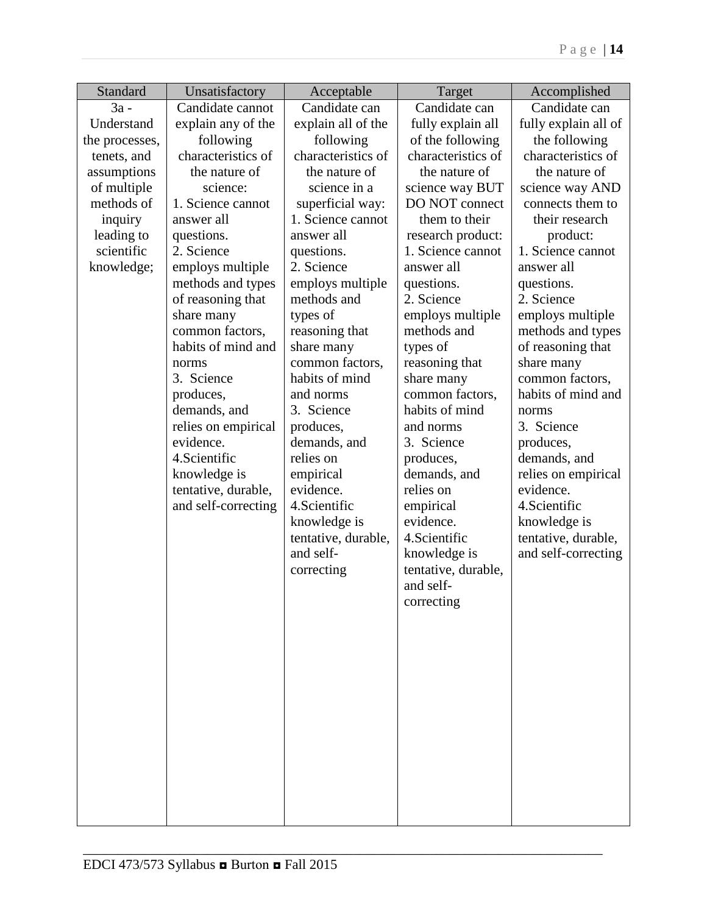| Standard       | Unsatisfactory      | Acceptable                        | Target                        | Accomplished                  |
|----------------|---------------------|-----------------------------------|-------------------------------|-------------------------------|
| $3a -$         | Candidate cannot    | Candidate can                     | Candidate can                 | Candidate can                 |
| Understand     | explain any of the  | explain all of the                | fully explain all             | fully explain all of          |
| the processes, | following           | following                         | of the following              | the following                 |
| tenets, and    | characteristics of  | characteristics of                | characteristics of            | characteristics of            |
| assumptions    | the nature of       | the nature of                     | the nature of                 | the nature of                 |
| of multiple    | science:            | science in a                      | science way BUT               | science way AND               |
| methods of     | 1. Science cannot   | superficial way:                  | DO NOT connect                | connects them to              |
| inquiry        | answer all          | 1. Science cannot                 | them to their                 | their research                |
| leading to     | questions.          | answer all                        | research product:             | product:                      |
| scientific     | 2. Science          | questions.                        | 1. Science cannot             | 1. Science cannot             |
| knowledge;     | employs multiple    | 2. Science                        | answer all                    | answer all                    |
|                | methods and types   | employs multiple                  | questions.                    | questions.                    |
|                | of reasoning that   | methods and                       | 2. Science                    | 2. Science                    |
|                | share many          | types of                          | employs multiple              | employs multiple              |
|                | common factors,     | reasoning that                    | methods and                   | methods and types             |
|                | habits of mind and  | share many                        | types of                      | of reasoning that             |
|                | norms<br>3. Science | common factors,<br>habits of mind | reasoning that                | share many<br>common factors, |
|                | produces,           | and norms                         | share many<br>common factors, | habits of mind and            |
|                | demands, and        | 3. Science                        | habits of mind                |                               |
|                | relies on empirical | produces,                         | and norms                     | norms<br>3. Science           |
|                | evidence.           | demands, and                      | 3. Science                    | produces,                     |
|                | 4. Scientific       | relies on                         | produces,                     | demands, and                  |
|                | knowledge is        | empirical                         | demands, and                  | relies on empirical           |
|                | tentative, durable, | evidence.                         | relies on                     | evidence.                     |
|                | and self-correcting | 4. Scientific                     | empirical                     | 4. Scientific                 |
|                |                     | knowledge is                      | evidence.                     | knowledge is                  |
|                |                     | tentative, durable,               | 4. Scientific                 | tentative, durable,           |
|                |                     | and self-                         | knowledge is                  | and self-correcting           |
|                |                     | correcting                        | tentative, durable,           |                               |
|                |                     |                                   | and self-                     |                               |
|                |                     |                                   | correcting                    |                               |
|                |                     |                                   |                               |                               |
|                |                     |                                   |                               |                               |
|                |                     |                                   |                               |                               |
|                |                     |                                   |                               |                               |
|                |                     |                                   |                               |                               |
|                |                     |                                   |                               |                               |
|                |                     |                                   |                               |                               |
|                |                     |                                   |                               |                               |
|                |                     |                                   |                               |                               |
|                |                     |                                   |                               |                               |
|                |                     |                                   |                               |                               |
|                |                     |                                   |                               |                               |
|                |                     |                                   |                               |                               |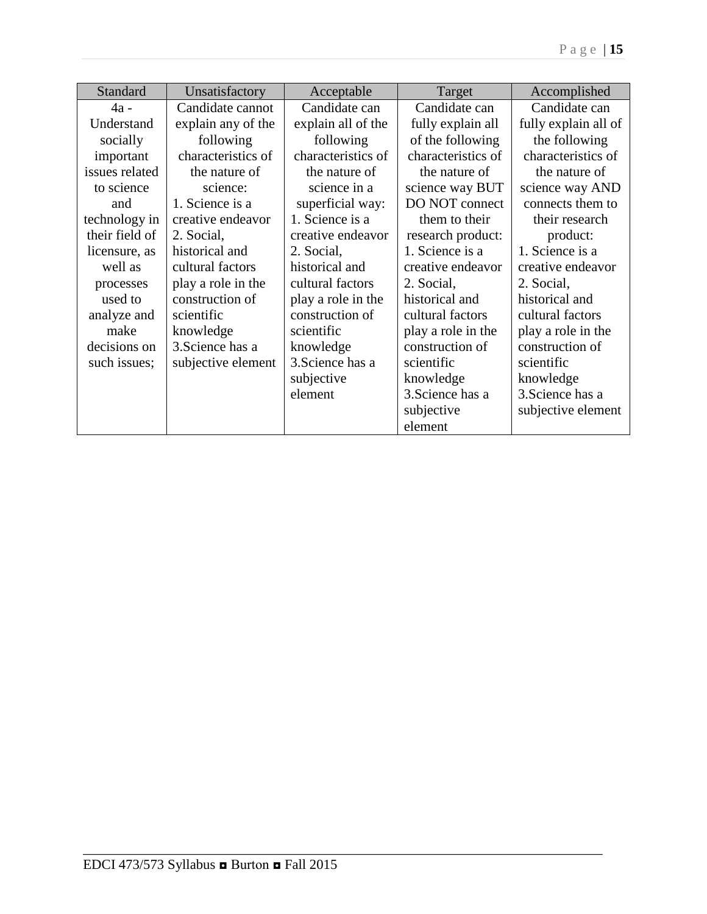| Standard       | Unsatisfactory     | Acceptable         | Target             | Accomplished         |
|----------------|--------------------|--------------------|--------------------|----------------------|
| 4a -           | Candidate cannot   | Candidate can      | Candidate can      | Candidate can        |
| Understand     | explain any of the | explain all of the | fully explain all  | fully explain all of |
| socially       | following          | following          | of the following   | the following        |
| important      | characteristics of | characteristics of | characteristics of | characteristics of   |
| issues related | the nature of      | the nature of      | the nature of      | the nature of        |
| to science     | science:           | science in a       | science way BUT    | science way AND      |
| and            | 1. Science is a    | superficial way:   | DO NOT connect     | connects them to     |
| technology in  | creative endeavor  | 1. Science is a    | them to their      | their research       |
| their field of | 2. Social,         | creative endeavor  | research product:  | product:             |
| licensure, as  | historical and     | 2. Social,         | 1. Science is a    | 1. Science is a      |
| well as        | cultural factors   | historical and     | creative endeavor  | creative endeavor    |
| processes      | play a role in the | cultural factors   | 2. Social,         | 2. Social,           |
| used to        | construction of    | play a role in the | historical and     | historical and       |
| analyze and    | scientific         | construction of    | cultural factors   | cultural factors     |
| make           | knowledge          | scientific         | play a role in the | play a role in the   |
| decisions on   | 3. Science has a   | knowledge          | construction of    | construction of      |
| such issues;   | subjective element | 3. Science has a   | scientific         | scientific           |
|                |                    | subjective         | knowledge          | knowledge            |
|                |                    | element            | 3. Science has a   | 3. Science has a     |
|                |                    |                    | subjective         | subjective element   |
|                |                    |                    | element            |                      |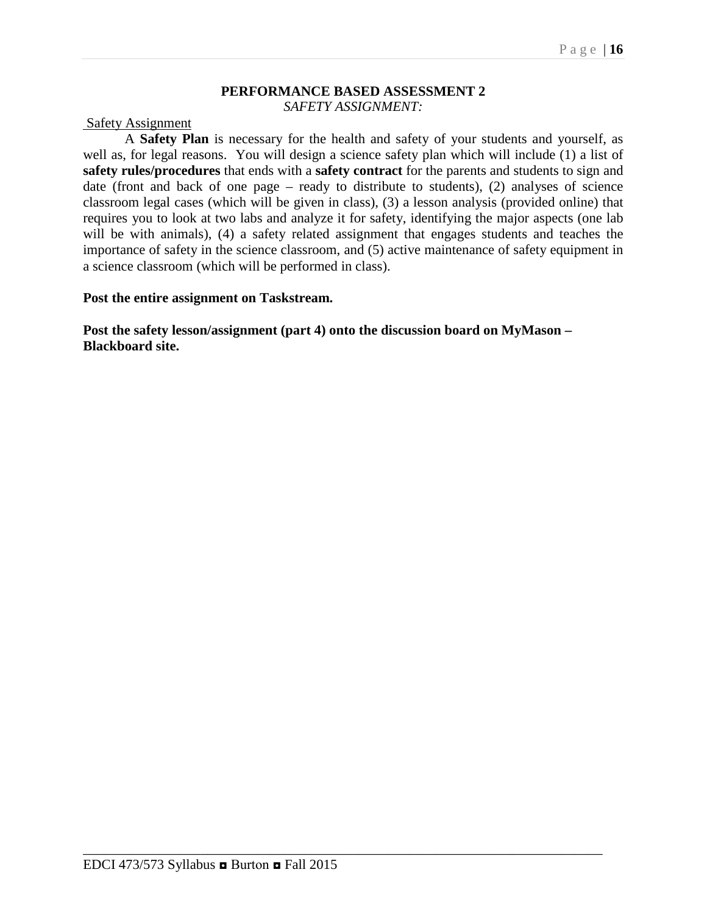#### **PERFORMANCE BASED ASSESSMENT 2** *SAFETY ASSIGNMENT:*

#### Safety Assignment

A **Safety Plan** is necessary for the health and safety of your students and yourself, as well as, for legal reasons. You will design a science safety plan which will include (1) a list of **safety rules/procedures** that ends with a **safety contract** for the parents and students to sign and date (front and back of one page – ready to distribute to students), (2) analyses of science classroom legal cases (which will be given in class), (3) a lesson analysis (provided online) that requires you to look at two labs and analyze it for safety, identifying the major aspects (one lab will be with animals), (4) a safety related assignment that engages students and teaches the importance of safety in the science classroom, and (5) active maintenance of safety equipment in a science classroom (which will be performed in class).

#### **Post the entire assignment on Taskstream.**

**Post the safety lesson/assignment (part 4) onto the discussion board on MyMason – Blackboard site.**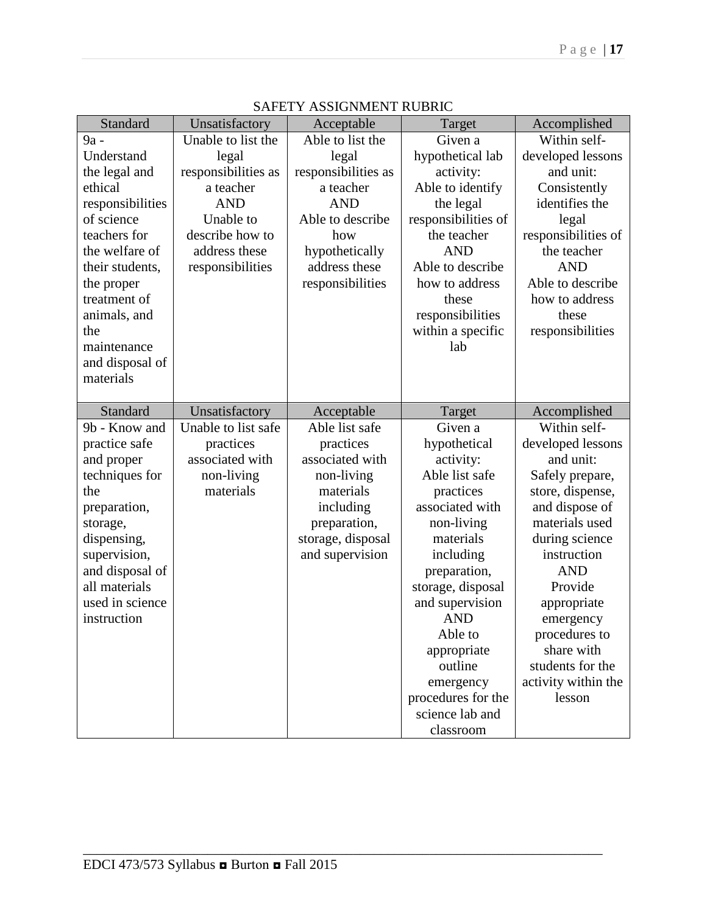| Standard         | Unsatisfactory      | Acceptable          | Target                       | Accomplished        |
|------------------|---------------------|---------------------|------------------------------|---------------------|
| 9a -             | Unable to list the  | Able to list the    | Given a                      | Within self-        |
| Understand       | legal               | legal               | hypothetical lab             | developed lessons   |
| the legal and    | responsibilities as | responsibilities as | activity:                    | and unit:           |
| ethical          | a teacher           | a teacher           | Able to identify             | Consistently        |
| responsibilities | <b>AND</b>          | <b>AND</b>          | the legal                    | identifies the      |
| of science       | Unable to           | Able to describe    | responsibilities of          | legal               |
| teachers for     | describe how to     | how                 | the teacher                  | responsibilities of |
| the welfare of   | address these       | hypothetically      | <b>AND</b>                   | the teacher         |
| their students,  | responsibilities    | address these       | Able to describe             | <b>AND</b>          |
| the proper       |                     | responsibilities    | how to address               | Able to describe    |
| treatment of     |                     |                     | these                        | how to address      |
| animals, and     |                     |                     | responsibilities             | these               |
| the              |                     |                     | within a specific            | responsibilities    |
| maintenance      |                     |                     | lab                          |                     |
| and disposal of  |                     |                     |                              |                     |
| materials        |                     |                     |                              |                     |
|                  |                     |                     |                              |                     |
| Standard         | Unsatisfactory      | Acceptable          | Target                       | Accomplished        |
|                  |                     |                     |                              |                     |
| 9b - Know and    | Unable to list safe | Able list safe      | Given a                      | Within self-        |
| practice safe    | practices           | practices           | hypothetical                 | developed lessons   |
| and proper       | associated with     | associated with     | activity:                    | and unit:           |
| techniques for   | non-living          | non-living          | Able list safe               | Safely prepare,     |
| the              | materials           | materials           | practices                    | store, dispense,    |
| preparation,     |                     | including           | associated with              | and dispose of      |
| storage,         |                     | preparation,        | non-living                   | materials used      |
| dispensing,      |                     | storage, disposal   | materials                    | during science      |
| supervision,     |                     | and supervision     | including                    | instruction         |
| and disposal of  |                     |                     | preparation,                 | <b>AND</b>          |
| all materials    |                     |                     | storage, disposal            | Provide             |
| used in science  |                     |                     | and supervision              | appropriate         |
| instruction      |                     |                     | <b>AND</b>                   | emergency           |
|                  |                     |                     | Able to                      | procedures to       |
|                  |                     |                     | appropriate                  | share with          |
|                  |                     |                     | outline                      | students for the    |
|                  |                     |                     | emergency                    | activity within the |
|                  |                     |                     | procedures for the           | lesson              |
|                  |                     |                     | science lab and<br>classroom |                     |

|  | SAFETY ASSIGNMENT RUBRIC |  |
|--|--------------------------|--|
|--|--------------------------|--|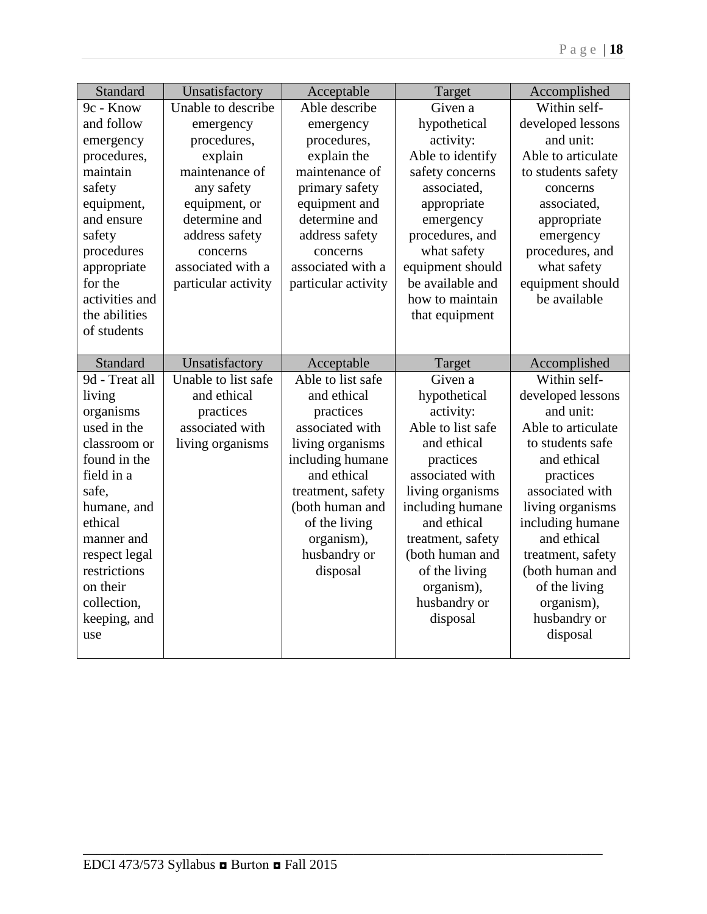| Standard                   | Unsatisfactory                        | Acceptable                           | Target                         | Accomplished                   |
|----------------------------|---------------------------------------|--------------------------------------|--------------------------------|--------------------------------|
| 9c - Know                  | Unable to describe                    | Able describe                        | Given a                        | Within self-                   |
| and follow                 | emergency                             | emergency                            | hypothetical                   | developed lessons              |
| emergency                  | procedures,                           | procedures,                          | activity:                      | and unit:                      |
| procedures,                | explain                               | explain the                          | Able to identify               | Able to articulate             |
| maintain                   | maintenance of                        | maintenance of                       | safety concerns                | to students safety             |
| safety                     | any safety                            | primary safety                       | associated,                    | concerns                       |
| equipment,                 | equipment, or                         | equipment and                        | appropriate                    | associated,                    |
| and ensure                 | determine and                         | determine and                        | emergency                      | appropriate                    |
| safety                     | address safety                        | address safety                       | procedures, and                | emergency                      |
| procedures                 | concerns                              | concerns                             | what safety                    | procedures, and                |
| appropriate                | associated with a                     | associated with a                    | equipment should               | what safety                    |
| for the                    | particular activity                   | particular activity                  | be available and               | equipment should               |
| activities and             |                                       |                                      | how to maintain                | be available                   |
| the abilities              |                                       |                                      | that equipment                 |                                |
| of students                |                                       |                                      |                                |                                |
|                            |                                       |                                      |                                |                                |
| Standard<br>9d - Treat all | Unsatisfactory<br>Unable to list safe | Acceptable<br>Able to list safe      | Target<br>Given a              | Accomplished<br>Within self-   |
|                            |                                       |                                      |                                |                                |
| living                     | and ethical                           | and ethical                          | hypothetical                   | developed lessons<br>and unit: |
| organisms<br>used in the   | practices<br>associated with          | practices<br>associated with         | activity:<br>Able to list safe | Able to articulate             |
| classroom or               |                                       |                                      | and ethical                    | to students safe               |
| found in the               | living organisms                      | living organisms                     |                                | and ethical                    |
| field in a                 |                                       | including humane<br>and ethical      | practices<br>associated with   | practices                      |
| safe,                      |                                       |                                      | living organisms               | associated with                |
| humane, and                |                                       | treatment, safety<br>(both human and | including humane               | living organisms               |
| ethical                    |                                       | of the living                        | and ethical                    | including humane               |
| manner and                 |                                       | organism),                           | treatment, safety              | and ethical                    |
| respect legal              |                                       | husbandry or                         | (both human and                | treatment, safety              |
| restrictions               |                                       | disposal                             | of the living                  | (both human and                |
| on their                   |                                       |                                      | organism),                     | of the living                  |
| collection,                |                                       |                                      | husbandry or                   | organism),                     |
| keeping, and               |                                       |                                      | disposal                       | husbandry or                   |
| use                        |                                       |                                      |                                | disposal                       |
|                            |                                       |                                      |                                |                                |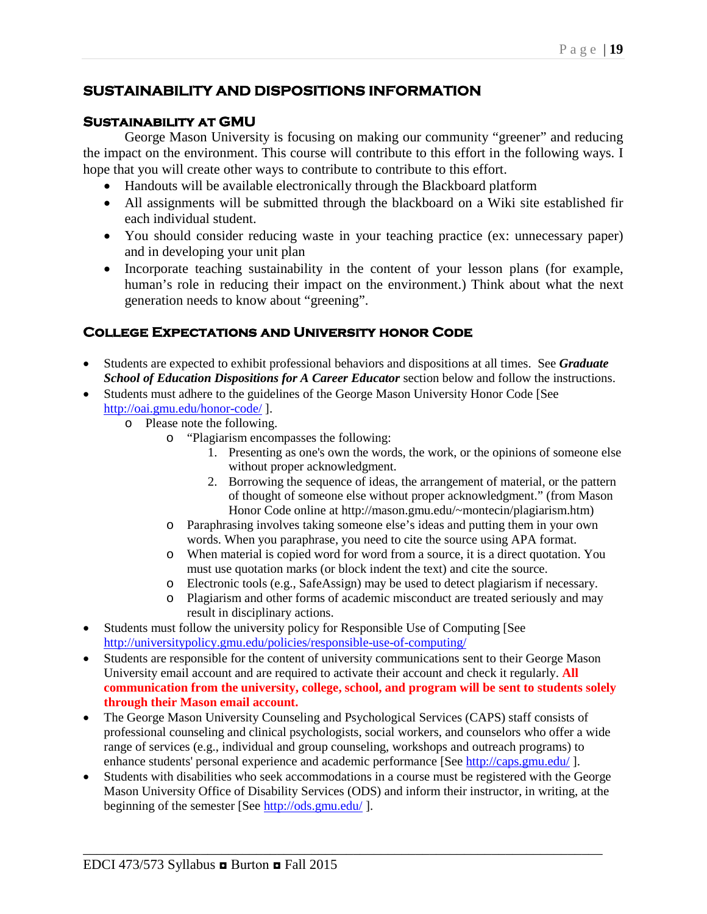## **SUSTAINABILITY AND DISPOSITIONS INFORMATION**

### **Sustainability at GMU**

George Mason University is focusing on making our community "greener" and reducing the impact on the environment. This course will contribute to this effort in the following ways. I hope that you will create other ways to contribute to contribute to this effort.

- Handouts will be available electronically through the Blackboard platform
- All assignments will be submitted through the blackboard on a Wiki site established fir each individual student.
- You should consider reducing waste in your teaching practice (ex: unnecessary paper) and in developing your unit plan
- Incorporate teaching sustainability in the content of your lesson plans (for example, human's role in reducing their impact on the environment.) Think about what the next generation needs to know about "greening".

## **College Expectations and University honor Code**

- Students are expected to exhibit professional behaviors and dispositions at all times. See *Graduate School of Education Dispositions for A Career Educator* section below and follow the instructions.
- Students must adhere to the guidelines of the George Mason University Honor Code [See <http://oai.gmu.edu/honor-code/> ].
	- o Please note the following.
		- o "Plagiarism encompasses the following:
			- 1. Presenting as one's own the words, the work, or the opinions of someone else without proper acknowledgment.
			- 2. Borrowing the sequence of ideas, the arrangement of material, or the pattern of thought of someone else without proper acknowledgment." (from Mason Honor Code online at http://mason.gmu.edu/~montecin/plagiarism.htm)
		- o Paraphrasing involves taking someone else's ideas and putting them in your own words. When you paraphrase, you need to cite the source using APA format.
		- o When material is copied word for word from a source, it is a direct quotation. You must use quotation marks (or block indent the text) and cite the source.
		- o Electronic tools (e.g., SafeAssign) may be used to detect plagiarism if necessary.
		- o Plagiarism and other forms of academic misconduct are treated seriously and may result in disciplinary actions.
- Students must follow the university policy for Responsible Use of Computing [See <http://universitypolicy.gmu.edu/policies/responsible-use-of-computing/>
- Students are responsible for the content of university communications sent to their George Mason University email account and are required to activate their account and check it regularly. **All communication from the university, college, school, and program will be sent to students solely through their Mason email account.**
- The George Mason University Counseling and Psychological Services (CAPS) staff consists of professional counseling and clinical psychologists, social workers, and counselors who offer a wide range of services (e.g., individual and group counseling, workshops and outreach programs) to enhance students' personal experience and academic performance [See<http://caps.gmu.edu/>].
- Students with disabilities who seek accommodations in a course must be registered with the George Mason University Office of Disability Services (ODS) and inform their instructor, in writing, at the beginning of the semester [See<http://ods.gmu.edu/>].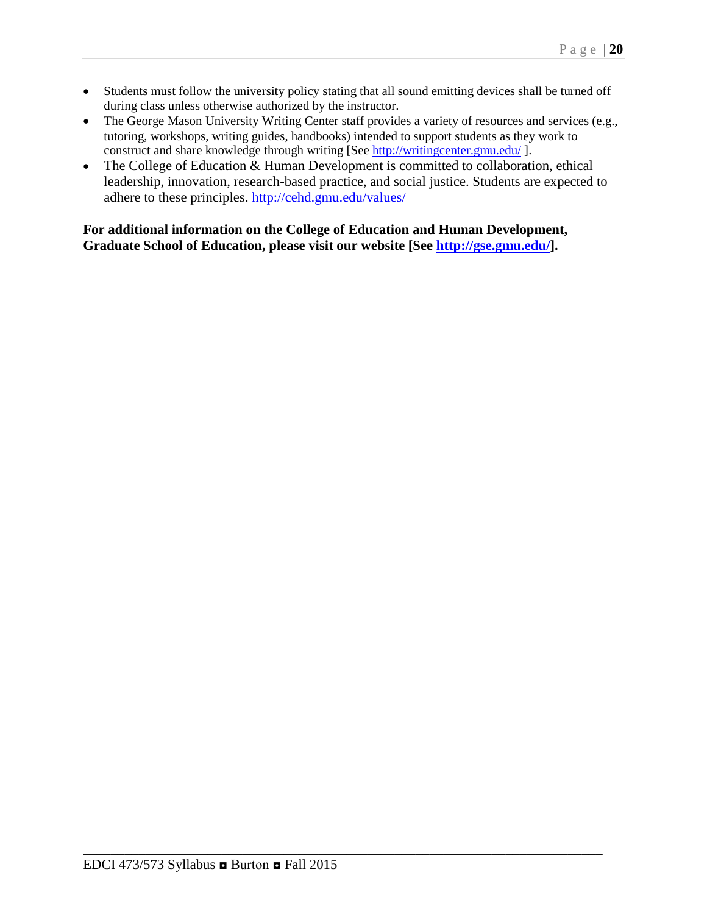- Students must follow the university policy stating that all sound emitting devices shall be turned off during class unless otherwise authorized by the instructor.
- The George Mason University Writing Center staff provides a variety of resources and services (e.g., tutoring, workshops, writing guides, handbooks) intended to support students as they work to construct and share knowledge through writing [See<http://writingcenter.gmu.edu/> ].
- The College of Education & Human Development is committed to collaboration, ethical leadership, innovation, research-based practice, and social justice. Students are expected to adhere to these principles.<http://cehd.gmu.edu/values/>

**For additional information on the College of Education and Human Development, Graduate School of Education, please visit our website [See [http://gse.gmu.edu/\]](http://gse.gmu.edu/).**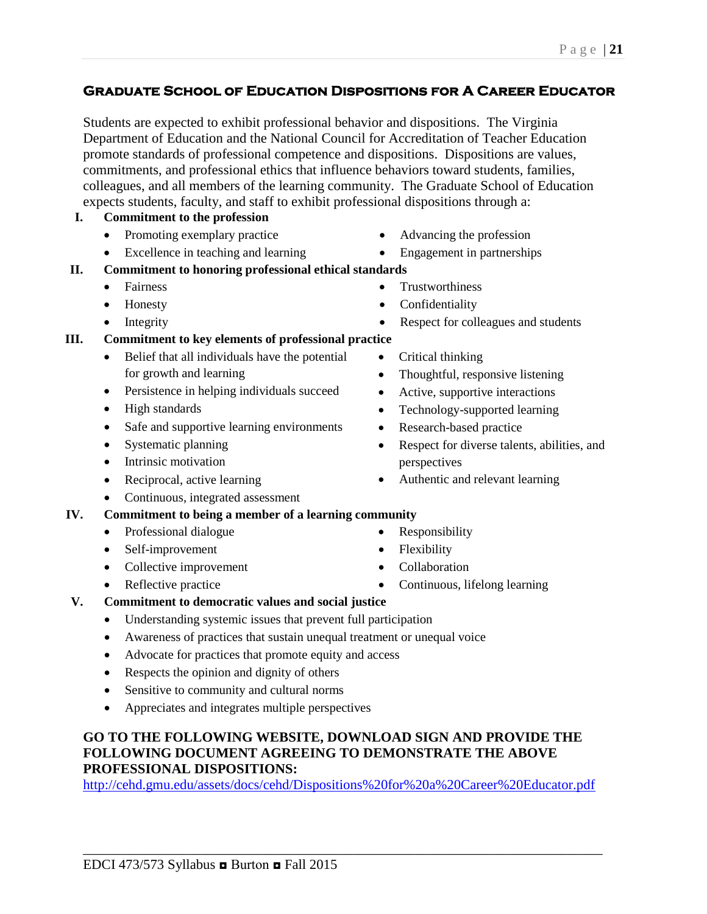## Page | **21**

## **Graduate School of Education Dispositions for A Career Educator**

Students are expected to exhibit professional behavior and dispositions. The Virginia Department of Education and the National Council for Accreditation of Teacher Education promote standards of professional competence and dispositions. Dispositions are values, commitments, and professional ethics that influence behaviors toward students, families, colleagues, and all members of the learning community. The Graduate School of Education expects students, faculty, and staff to exhibit professional dispositions through a:

## **I. Commitment to the profession**

- Promoting exemplary practice
- Excellence in teaching and learning
- **II. Commitment to honoring professional ethical standards**
	- Fairness
	- Honesty
	- Integrity

## **III. Commitment to key elements of professional practice**

- Belief that all individuals have the potential for growth and learning
- Persistence in helping individuals succeed
- High standards
- Safe and supportive learning environments
- Systematic planning
- Intrinsic motivation
- Reciprocal, active learning
- Continuous, integrated assessment

## **IV. Commitment to being a member of a learning community**

- Professional dialogue
- Self-improvement
- Collective improvement
- Reflective practice
- Advancing the profession • Engagement in partnerships
- **Trustworthiness**
- **Confidentiality**
- Respect for colleagues and students
- Critical thinking
- Thoughtful, responsive listening
- Active, supportive interactions
- Technology-supported learning
- Research-based practice
- Respect for diverse talents, abilities, and perspectives
- Authentic and relevant learning
- Responsibility
- Flexibility
- Collaboration
- Continuous, lifelong learning

## **V. Commitment to democratic values and social justice**

- Understanding systemic issues that prevent full participation
- Awareness of practices that sustain unequal treatment or unequal voice
- Advocate for practices that promote equity and access
- Respects the opinion and dignity of others
- Sensitive to community and cultural norms
- Appreciates and integrates multiple perspectives

## **GO TO THE FOLLOWING WEBSITE, DOWNLOAD SIGN AND PROVIDE THE FOLLOWING DOCUMENT AGREEING TO DEMONSTRATE THE ABOVE PROFESSIONAL DISPOSITIONS:**

<http://cehd.gmu.edu/assets/docs/cehd/Dispositions%20for%20a%20Career%20Educator.pdf>